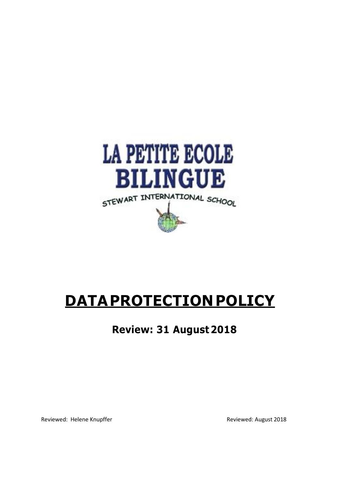

# **DATAPROTECTIONPOLICY**

# **Review: 31 August 2018**

Reviewed: Helene Knupffer **Reviewed: August 2018**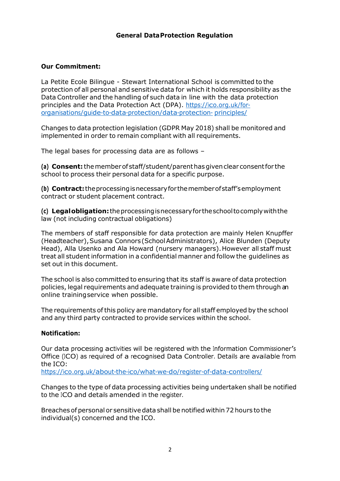# **General DataProtection Regulation**

### **Our Commitment:**

La Petite Ecole Bilingue - Stewart International School is committed to the protection of all personal and sensitive data for which it holds responsibility as the Data Controller and the handling of such data in line with the data protection principles and the Data Protection Act (DPA). [https://ico.org.uk/for](https://ico.org.uk/for-organisations/guide-to-data-protection/data-protection-principles/)[organisations/guide-to-data-protection/data-protection-](https://ico.org.uk/for-organisations/guide-to-data-protection/data-protection-principles/) [principles/](https://ico.org.uk/for-organisations/guide-to-data-protection/data-protection-principles/)

Changes to data protection legislation (GDPR May 2018) shall be monitored and implemented in order to remain compliant with all requirements.

The legal bases for processing data are as follows –

**(a) Consent:** thememberofstaff/student/parenthasgivenclear consentfor the school to process their personal data for a specific purpose.

**(b) Contract:** theprocessingisnecessaryfor thememberofstaff'semployment contract or student placement contract.

**(c) Legalobligation:** theprocessingisnecessaryfortheschooltocomplywiththe law (not including contractual obligations)

The members of staff responsible for data protection are mainly Helen Knupffer (Headteacher), Susana Connors(SchoolAdministrators), Alice Blunden (Deputy Head), Alla Usenko and Ala Howard (nursery managers).However all staff must treat all student information in a confidential manner and follow the guidelines as set out in this document.

The school is also committed to ensuring that its staff is aware of data protection policies, legal requirements and adequate training is provided to them through an online trainingservice when possible.

The requirements ofthis policy are mandatory for all staff employed by the school and any third party contracted to provide services within the school.

#### **Notification:**

Our data processing activities will be registered with the Information Commissioner'<sup>s</sup> Office (ICO) as required of a recognised Data Controller. Details are available from the ICO:

<https://ico.org.uk/about-the-ico/what-we-do/register-of-data-controllers/>

Changes to the type of data processing activities being undertaken shall be notified to the ICO and details amended in the register.

Breaches of personal or sensitive data shall be notified within 72 hours to the individual(s) concerned and the ICO.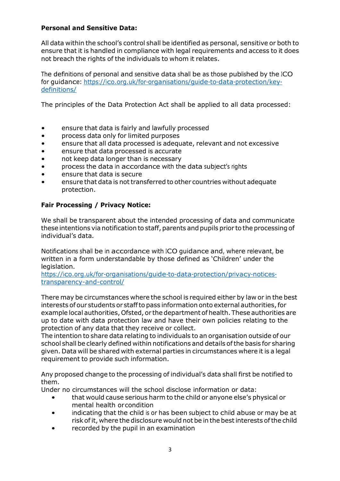# **Personal and Sensitive Data:**

All data within the school's control shall be identified as personal, sensitive or both to ensure that it is handled in compliance with legal requirements and access to it does not breach the rights of the individuals to whom it relates.

The definitions of personal and sensitive data shall be as those published by the ICO for guidance: [https://ico.org.uk/for-organisations/guide-to-data-protection/key](https://ico.org.uk/for-organisations/guide-to-data-protection/key-definitions/)[definitions/](https://ico.org.uk/for-organisations/guide-to-data-protection/key-definitions/)

The principles of the Data Protection Act shall be applied to all data processed:

- ensure that data is fairly and lawfully processed
- process data only for limited purposes
- ensure that all data processed is adequate, relevant and not excessive
- ensure that data processed is accurate
- not keep data longer than is necessary
- process the data in accordance with the data subject's rights
- ensure that data is secure
- ensure that data is not transferred to other countries without adequate protection.

# **Fair Processing / Privacy Notice:**

We shall be transparent about the intended processing of data and communicate these intentions via notification to staff, parents and pupils prior to the processing of individual's data.

Notifications shall be in accordance with ICO guidance and, where relevant, be written in a form understandable by those defined as 'Children' under the legislation.

[https://ico.org.uk/for-organisations/guide-to-data-protection/privacy-notices](https://ico.org.uk/for-organisations/guide-to-data-protection/privacy-notices-transparency-and-control/)[transparency-and-control/](https://ico.org.uk/for-organisations/guide-to-data-protection/privacy-notices-transparency-and-control/)

There may be circumstances where the school is required either by law or in the best interests of our students or staff to pass information onto external authorities, for example local authorities,Ofsted, or the department of health.These authorities are up to date with data protection law and have their own policies relating to the protection of any data that they receive or collect.

The intention to share data relating to individuals to an organisation outside of our school shall be clearly defined within notifications and details ofthe basis for sharing given. Data will be shared with external parties in circumstances where it is a legal requirement to provide such information.

Any proposed change to the processing of individual's data shall first be notified to them.

Under no circumstances will the school disclose information or data:

- that would cause serious harm to the child or anyone else's physical or mental health orcondition
- indicating that the child is or has been subject to child abuse or may be at risk ofit, where the disclosure would not be in the bestinterests ofthe child
- recorded by the pupil in an examination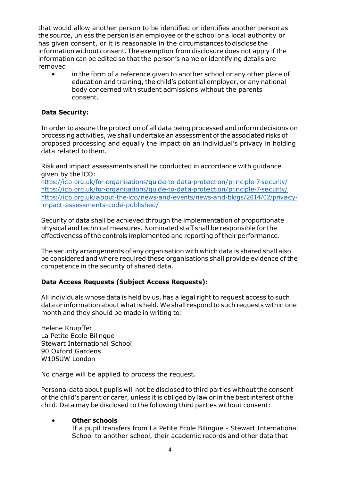that would allow another person to be identified or identifies another person as the source, unless the person is an employee of the school or a local authority or has given consent, or it is reasonable in the circumstances todisclose the information without consent.The exemption from disclosure does not apply if the information can be edited so that the person's name or identifying details are removed

• in the form of a reference given to another school or any other place of education and training, the child's potential employer, or any national body concerned with student admissions without the parents consent.

# **Data Security:**

In order to assure the protection of all data being processed and inform decisions on processing activities, we shall undertake an assessment ofthe associated risks of proposed processing and equally the impact on an individual's privacy in holding data related tothem.

Risk and impact assessments shall be conducted in accordance with guidance given by theICO:

<https://ico.org.uk/for-organisations/guide-to-data-protection/principle-7-security/> <https://ico.org.uk/for-organisations/guide-to-data-protection/principle-7-security/> [https://ico.org.uk/about-the-ico/news-and-events/news-and-blogs/2014/02/privacy](https://ico.org.uk/about-the-ico/news-and-events/news-and-blogs/2014/02/privacy-impact-assessments-code-published/)[impact-assessments-code-published/](https://ico.org.uk/about-the-ico/news-and-events/news-and-blogs/2014/02/privacy-impact-assessments-code-published/)

Security of data shall be achieved through the implementation of proportionate physical and technical measures. Nominated staff shall be responsible for the effectiveness of the controls implemented and reporting of their performance.

The security arrangements of any organisation with which data is shared shall also be considered and where required these organisations shall provide evidence of the competence in the security of shared data.

# **Data Access Requests (Subject Access Requests):**

All individuals whose data is held by us, has a legal right to request access to such data or information about what is held. We shall respond to such requests within one month and they should be made in writing to:

Helene Knupffer La Petite Ecole Bilingue Stewart International School 90 Oxford Gardens W105UW London

No charge will be applied to process the request.

Personal data about pupils will not be disclosed to third parties without the consent of the child's parent or carer, unless it is obliged by law or in the best interest of the child. Data may be disclosed to the following third parties without consent:

#### • **Other schools**

If a pupil transfers from La Petite Ecole Bilingue - Stewart International School to another school, their academic records and other data that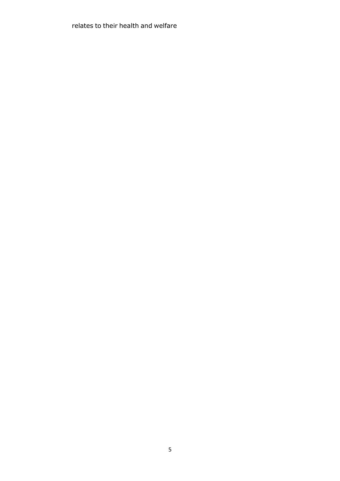relates to their health and welfare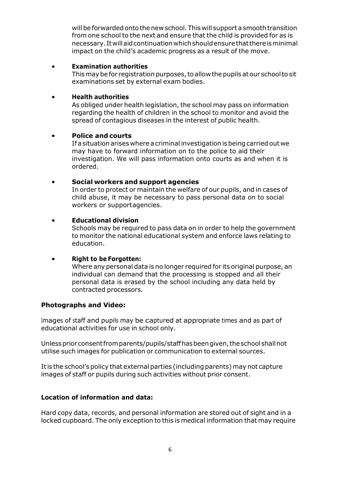will be forwarded onto the new school. This will support a smooth transition from one school to the next and ensure that the child is provided for as is necessary. Itwillaidcontinuationwhichshouldensurethatthereisminimal impact on the child's academic progress as a result of the move.

#### • **Examination authorities**

This may be for registration purposes, to allow the pupils at our school to sit examinations set by external exam bodies.

### • **Health authorities**

As obliged under health legislation, the school may pass on information regarding the health of children in the school to monitor and avoid the spread of contagious diseases in the interest of public health.

# • **Police and courts**

Ifasituationarises where acriminal investigation isbeingcarriedout we may have to forward information on to the police to aid their investigation. We will pass information onto courts as and when it is ordered.

# • **Social workers and support agencies**

In order to protect or maintain the welfare of our pupils, and in cases of child abuse, it may be necessary to pass personal data on to social workers or supportagencies.

# • **Educational division**

Schools may be required to pass data on in order to help the government to monitor the national educational system and enforce laws relating to education.

#### • **Right to be Forgotten:**

Where any personal data is no longer required for its original purpose, an individual can demand that the processing is stopped and all their personal data is erased by the school including any data held by contracted processors.

# **Photographs and Video:**

Images of staff and pupils may be captured at appropriate times and as part of educational activities for use in school only.

Unlesspriorconsentfromparents/pupils/staffhasbeengiven,theschoolshallnot utilise such images for publication or communication to external sources.

Itis the school's policy that external parties (including parents)may not capture images of staff or pupils during such activities without prior consent.

# **Location of information and data:**

Hard copy data, records, and personal information are stored out of sight and in a locked cupboard. The only exception to this is medical information that may require